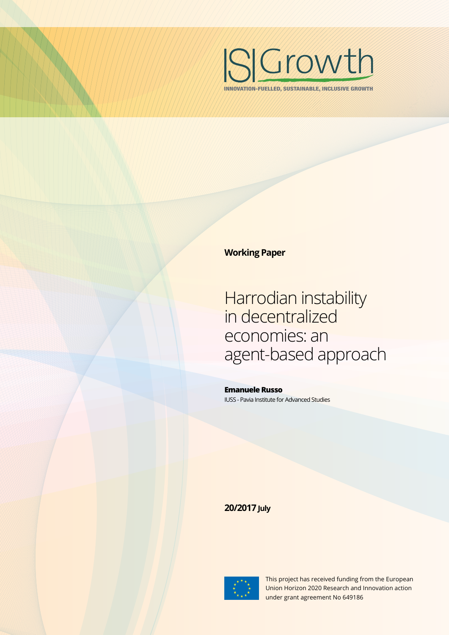

INNOVATION-FUELLED, SUSTAINABLE, INCLUSIVE GROWTH

### **Working Paper**

Harrodian instability in decentralized economies: an agent-based approach

**Emanuele Russo** IUSS - Pavia Institute for Advanced Studies

### **20/2017 July**



This project has received funding from the European Union Horizon 2020 Research and Innovation action under grant agreement No 649186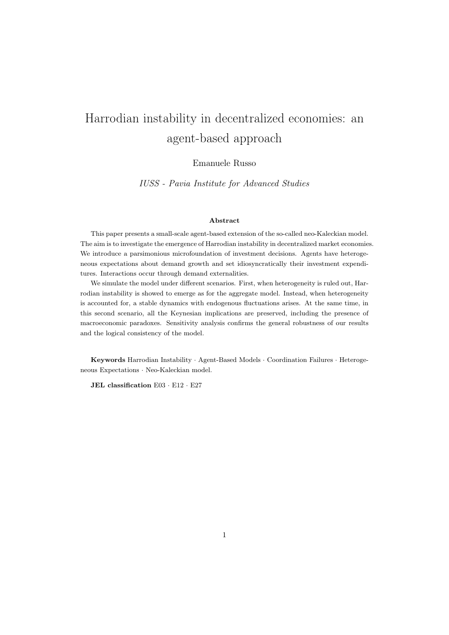# Harrodian instability in decentralized economies: an agent-based approach

Emanuele Russo

IUSS - Pavia Institute for Advanced Studies

#### Abstract

This paper presents a small-scale agent-based extension of the so-called neo-Kaleckian model. The aim is to investigate the emergence of Harrodian instability in decentralized market economies. We introduce a parsimonious microfoundation of investment decisions. Agents have heterogeneous expectations about demand growth and set idiosyncratically their investment expenditures. Interactions occur through demand externalities.

We simulate the model under different scenarios. First, when heterogeneity is ruled out, Harrodian instability is showed to emerge as for the aggregate model. Instead, when heterogeneity is accounted for, a stable dynamics with endogenous fluctuations arises. At the same time, in this second scenario, all the Keynesian implications are preserved, including the presence of macroeconomic paradoxes. Sensitivity analysis confirms the general robustness of our results and the logical consistency of the model.

Keywords Harrodian Instability · Agent-Based Models · Coordination Failures · Heterogeneous Expectations · Neo-Kaleckian model.

JEL classification E03 · E12 · E27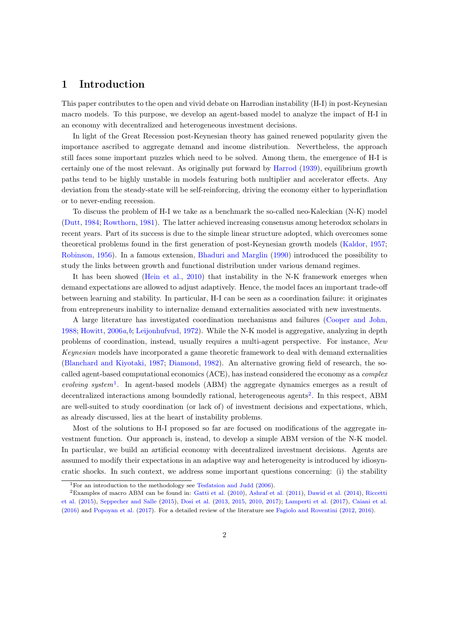### 1 Introduction

This paper contributes to the open and vivid debate on Harrodian instability (H-I) in post-Keynesian macro models. To this purpose, we develop an agent-based model to analyze the impact of H-I in an economy with decentralized and heterogeneous investment decisions.

In light of the Great Recession post-Keynesian theory has gained renewed popularity given the importance ascribed to aggregate demand and income distribution. Nevertheless, the approach still faces some important puzzles which need to be solved. Among them, the emergence of H-I is certainly one of the most relevant. As originally put forward by [Harrod](#page-20-0) [\(1939\)](#page-20-0), equilibrium growth paths tend to be highly unstable in models featuring both multiplier and accelerator effects. Any deviation from the steady-state will be self-reinforcing, driving the economy either to hyperinflation or to never-ending recession.

To discuss the problem of H-I we take as a benchmark the so-called neo-Kaleckian (N-K) model [\(Dutt,](#page-19-0) [1984;](#page-19-0) [Rowthorn,](#page-21-0) [1981\)](#page-21-0). The latter achieved increasing consensus among heterodox scholars in recent years. Part of its success is due to the simple linear structure adopted, which overcomes some theoretical problems found in the first generation of post-Keynesian growth models [\(Kaldor,](#page-20-1) [1957;](#page-20-1) [Robinson,](#page-21-1) [1956\)](#page-21-1). In a famous extension, [Bhaduri and Marglin](#page-18-0) [\(1990\)](#page-18-0) introduced the possibility to study the links between growth and functional distribution under various demand regimes.

It has been showed [\(Hein et al.,](#page-20-2) [2010\)](#page-20-2) that instability in the N-K framework emerges when demand expectations are allowed to adjust adaptively. Hence, the model faces an important trade-off between learning and stability. In particular, H-I can be seen as a coordination failure: it originates from entrepreneurs inability to internalize demand externalities associated with new investments.

A large literature has investigated coordination mechanisms and failures [\(Cooper and John,](#page-18-1) [1988;](#page-18-1) [Howitt,](#page-20-3) [2006](#page-20-3)a,[b](#page-20-4); [Leijonhufvud,](#page-20-5) [1972\)](#page-20-5). While the N-K model is aggregative, analyzing in depth problems of coordination, instead, usually requires a multi-agent perspective. For instance, New Keynesian models have incorporated a game theoretic framework to deal with demand externalities [\(Blanchard and Kiyotaki,](#page-18-2) [1987;](#page-18-2) [Diamond,](#page-18-3) [1982\)](#page-18-3). An alternative growing field of research, the socalled agent-based computational economics (ACE), has instead considered the economy as a complex evolving system<sup>[1](#page-2-0)</sup>. In agent-based models (ABM) the aggregate dynamics emerges as a result of decentralized interactions among boundedly rational, heterogeneous agents<sup>[2](#page-2-1)</sup>. In this respect, ABM are well-suited to study coordination (or lack of) of investment decisions and expectations, which, as already discussed, lies at the heart of instability problems.

Most of the solutions to H-I proposed so far are focused on modifications of the aggregate investment function. Our approach is, instead, to develop a simple ABM version of the N-K model. In particular, we build an artificial economy with decentralized investment decisions. Agents are assumed to modify their expectations in an adaptive way and heterogeneity is introduced by idiosyncratic shocks. In such context, we address some important questions concerning: (i) the stability

<span id="page-2-1"></span><span id="page-2-0"></span><sup>&</sup>lt;sup>1</sup>For an introduction to the methodology see [Tesfatsion and Judd](#page-21-2) [\(2006\)](#page-21-2).

<sup>2</sup>Examples of macro ABM can be found in: [Gatti et al.](#page-19-1) [\(2010\)](#page-19-1), [Ashraf et al.](#page-17-0) [\(2011\)](#page-17-0), [Dawid et al.](#page-18-4) [\(2014\)](#page-18-4), [Riccetti](#page-21-3) [et al.](#page-21-3) [\(2015\)](#page-21-3), [Seppecher and Salle](#page-21-4) [\(2015\)](#page-21-4), [Dosi et al.](#page-18-5) [\(2013,](#page-18-5) [2015,](#page-18-6) [2010,](#page-19-2) [2017\)](#page-19-3); [Lamperti et al.](#page-20-6) [\(2017\)](#page-20-6), [Caiani et al.](#page-18-7) [\(2016\)](#page-18-7) and [Popoyan et al.](#page-21-5) [\(2017\)](#page-21-5). For a detailed review of the literature see [Fagiolo and Roventini](#page-19-4) [\(2012,](#page-19-4) [2016\)](#page-19-5).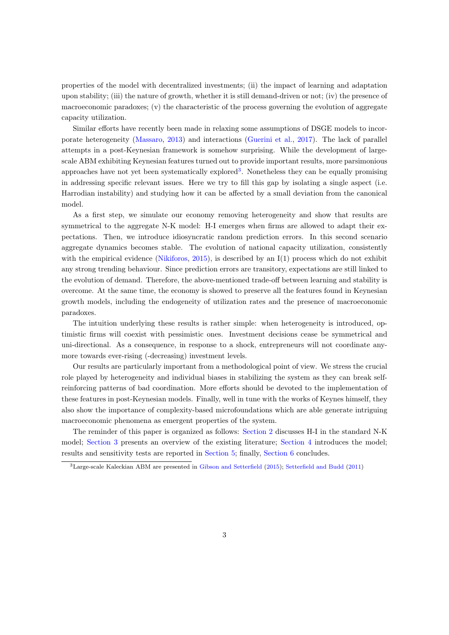properties of the model with decentralized investments; (ii) the impact of learning and adaptation upon stability; (iii) the nature of growth, whether it is still demand-driven or not; (iv) the presence of macroeconomic paradoxes; (v) the characteristic of the process governing the evolution of aggregate capacity utilization.

Similar efforts have recently been made in relaxing some assumptions of DSGE models to incorporate heterogeneity [\(Massaro,](#page-20-7) [2013\)](#page-20-7) and interactions [\(Guerini et al.,](#page-20-8) [2017\)](#page-20-8). The lack of parallel attempts in a post-Keynesian framework is somehow surprising. While the development of largescale ABM exhibiting Keynesian features turned out to provide important results, more parsimonious approaches have not yet been systematically explored<sup>[3](#page-3-0)</sup>. Nonetheless they can be equally promising in addressing specific relevant issues. Here we try to fill this gap by isolating a single aspect (i.e. Harrodian instability) and studying how it can be affected by a small deviation from the canonical model.

As a first step, we simulate our economy removing heterogeneity and show that results are symmetrical to the aggregate N-K model: H-I emerges when firms are allowed to adapt their expectations. Then, we introduce idiosyncratic random prediction errors. In this second scenario aggregate dynamics becomes stable. The evolution of national capacity utilization, consistently with the empirical evidence [\(Nikiforos,](#page-20-9) [2015\)](#page-20-9), is described by an I(1) process which do not exhibit any strong trending behaviour. Since prediction errors are transitory, expectations are still linked to the evolution of demand. Therefore, the above-mentioned trade-off between learning and stability is overcome. At the same time, the economy is showed to preserve all the features found in Keynesian growth models, including the endogeneity of utilization rates and the presence of macroeconomic paradoxes.

The intuition underlying these results is rather simple: when heterogeneity is introduced, optimistic firms will coexist with pessimistic ones. Investment decisions cease be symmetrical and uni-directional. As a consequence, in response to a shock, entrepreneurs will not coordinate anymore towards ever-rising (-decreasing) investment levels.

Our results are particularly important from a methodological point of view. We stress the crucial role played by heterogeneity and individual biases in stabilizing the system as they can break selfreinforcing patterns of bad coordination. More efforts should be devoted to the implementation of these features in post-Keynesian models. Finally, well in tune with the works of Keynes himself, they also show the importance of complexity-based microfoundations which are able generate intriguing macroeconomic phenomena as emergent properties of the system.

The reminder of this paper is organized as follows: [Section 2](#page-4-0) discusses H-I in the standard N-K model; [Section 3](#page-6-0) presents an overview of the existing literature; [Section 4](#page-7-0) introduces the model; results and sensitivity tests are reported in [Section 5;](#page-10-0) finally, [Section 6](#page-16-0) concludes.

<span id="page-3-0"></span><sup>3</sup>Large-scale Kaleckian ABM are presented in [Gibson and Setterfield](#page-19-6) [\(2015\)](#page-19-6); [Setterfield and Budd](#page-21-6) [\(2011\)](#page-21-6)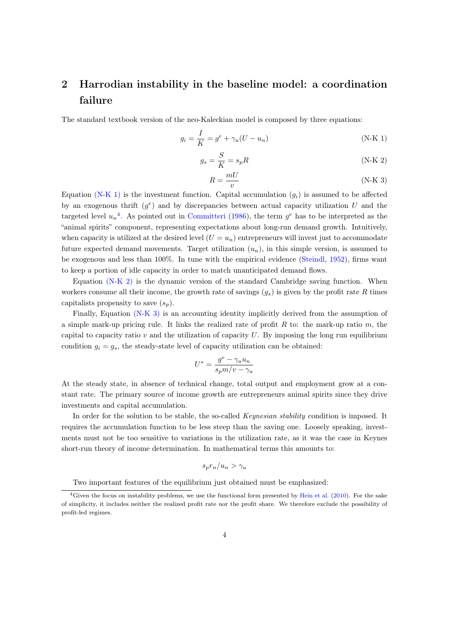## <span id="page-4-0"></span>2 Harrodian instability in the baseline model: a coordination failure

The standard textbook version of the neo-Kaleckian model is composed by three equations:

$$
g_i = \frac{I}{K} = g^e + \gamma_u (U - u_n) \tag{N-K 1}
$$

$$
g_s = \frac{S}{K} = s_p R \tag{N-K 2}
$$

<span id="page-4-4"></span><span id="page-4-3"></span><span id="page-4-1"></span>
$$
R = \frac{mU}{v}
$$
 (N-K 3)

Equation [\(N-K 1\)](#page-4-1) is the investment function. Capital accumulation  $(g_i)$  is assumed to be affected by an exogenous thrift  $(g^e)$  and by discrepancies between actual capacity utilization U and the targeted level  $u_n^4$  $u_n^4$ . As pointed out in [Committeri](#page-18-8) [\(1986\)](#page-18-8), the term  $g^e$  has to be interpreted as the "animal spirits" component, representing expectations about long-run demand growth. Intuitively, when capacity is utilized at the desired level  $(U = u_n)$  entrepreneurs will invest just to accommodate future expected demand movements. Target utilization  $(u_n)$ , in this simple version, is assumed to be exogenous and less than 100%. In tune with the empirical evidence [\(Steindl,](#page-21-7) [1952\)](#page-21-7), firms want to keep a portion of idle capacity in order to match unanticipated demand flows.

Equation [\(N-K 2\)](#page-4-3) is the dynamic version of the standard Cambridge saving function. When workers consume all their income, the growth rate of savings  $(g_s)$  is given by the profit rate R times capitalists propensity to save  $(s_n)$ .

Finally, Equation [\(N-K 3\)](#page-4-4) is an accounting identity implicitly derived from the assumption of a simple mark-up pricing rule. It links the realized rate of profit  $R$  to: the mark-up ratio  $m$ , the capital to capacity ratio  $v$  and the utilization of capacity  $U$ . By imposing the long run equilibrium condition  $g_i = g_s$ , the steady-state level of capacity utilization can be obtained:

$$
U^* = \frac{g^e - \gamma_u u_n}{s_p m/v - \gamma_u}
$$

At the steady state, in absence of technical change, total output and employment grow at a constant rate. The primary source of income growth are entrepreneurs animal spirits since they drive investments and capital accumulation.

In order for the solution to be stable, the so-called *Keynesian stability* condition is imposed. It requires the accumulation function to be less steep than the saving one. Loosely speaking, investments must not be too sensitive to variations in the utilization rate, as it was the case in Keynes short-run theory of income determination. In mathematical terms this amounts to:

$$
s_p r_n/u_n > \gamma_u
$$

<span id="page-4-2"></span>Two important features of the equilibrium just obtained must be emphasized:

<sup>&</sup>lt;sup>4</sup>Given the focus on instability problems, we use the functional form presented by [Hein et al.](#page-20-2) [\(2010\)](#page-20-2). For the sake of simplicity, it includes neither the realized profit rate nor the profit share. We therefore exclude the possibility of profit-led regimes.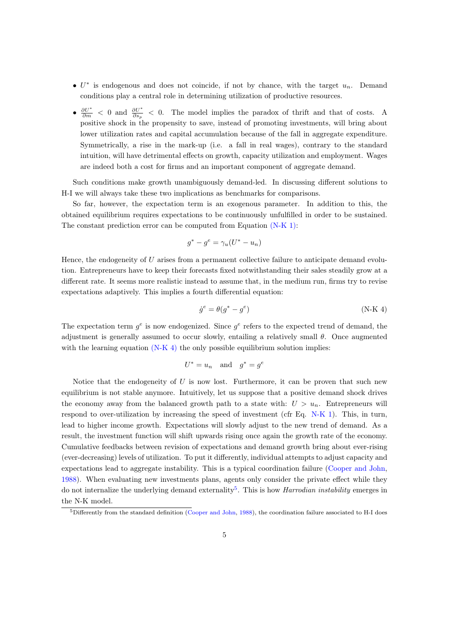- $U^*$  is endogenous and does not coincide, if not by chance, with the target  $u_n$ . Demand conditions play a central role in determining utilization of productive resources.
- $\frac{\partial U^*}{\partial m}$  < 0 and  $\frac{\partial U^*}{\partial s_p}$  < 0. The model implies the paradox of thrift and that of costs. A positive shock in the propensity to save, instead of promoting investments, will bring about lower utilization rates and capital accumulation because of the fall in aggregate expenditure. Symmetrically, a rise in the mark-up (i.e. a fall in real wages), contrary to the standard intuition, will have detrimental effects on growth, capacity utilization and employment. Wages are indeed both a cost for firms and an important component of aggregate demand.

Such conditions make growth unambiguously demand-led. In discussing different solutions to H-I we will always take these two implications as benchmarks for comparisons.

So far, however, the expectation term is an exogenous parameter. In addition to this, the obtained equilibrium requires expectations to be continuously unfulfilled in order to be sustained. The constant prediction error can be computed from Equation [\(N-K 1\):](#page-4-1)

$$
g^* - g^e = \gamma_u (U^* - u_n)
$$

Hence, the endogeneity of U arises from a permanent collective failure to anticipate demand evolution. Entrepreneurs have to keep their forecasts fixed notwithstanding their sales steadily grow at a different rate. It seems more realistic instead to assume that, in the medium run, firms try to revise expectations adaptively. This implies a fourth differential equation:

<span id="page-5-0"></span>
$$
\dot{g}^e = \theta(g^* - g^e) \tag{N-K 4}
$$

The expectation term  $g^e$  is now endogenized. Since  $g^e$  refers to the expected trend of demand, the adjustment is generally assumed to occur slowly, entailing a relatively small  $\theta$ . Once augmented with the learning equation [\(N-K 4\)](#page-5-0) the only possible equilibrium solution implies:

$$
U^* = u_n \quad \text{and} \quad g^* = g^e
$$

Notice that the endogeneity of  $U$  is now lost. Furthermore, it can be proven that such new equilibrium is not stable anymore. Intuitively, let us suppose that a positive demand shock drives the economy away from the balanced growth path to a state with:  $U > u_n$ . Entrepreneurs will respond to over-utilization by increasing the speed of investment (cfr Eq. [N-K 1\)](#page-4-1). This, in turn, lead to higher income growth. Expectations will slowly adjust to the new trend of demand. As a result, the investment function will shift upwards rising once again the growth rate of the economy. Cumulative feedbacks between revision of expectations and demand growth bring about ever-rising (ever-decreasing) levels of utilization. To put it differently, individual attempts to adjust capacity and expectations lead to aggregate instability. This is a typical coordination failure [\(Cooper and John,](#page-18-1) [1988\)](#page-18-1). When evaluating new investments plans, agents only consider the private effect while they do not internalize the underlying demand externality<sup>[5](#page-5-1)</sup>. This is how *Harrodian instability* emerges in the N-K model.

<span id="page-5-1"></span> $5$ Differently from the standard definition [\(Cooper and John,](#page-18-1) [1988\)](#page-18-1), the coordination failure associated to H-I does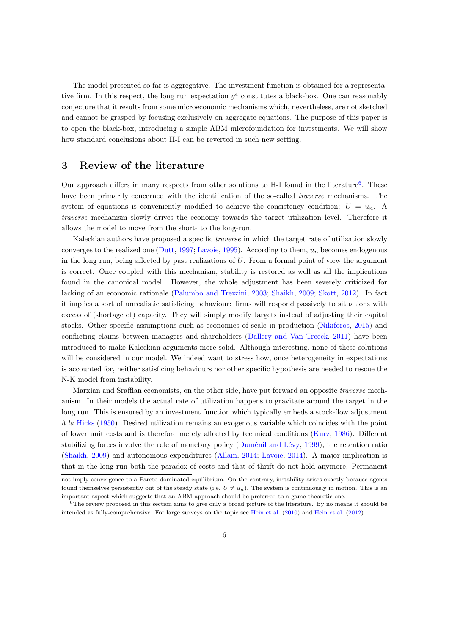The model presented so far is aggregative. The investment function is obtained for a representative firm. In this respect, the long run expectation  $g^e$  constitutes a black-box. One can reasonably conjecture that it results from some microeconomic mechanisms which, nevertheless, are not sketched and cannot be grasped by focusing exclusively on aggregate equations. The purpose of this paper is to open the black-box, introducing a simple ABM microfoundation for investments. We will show how standard conclusions about H-I can be reverted in such new setting.

### <span id="page-6-0"></span>3 Review of the literature

Our approach differs in many respects from other solutions to H-I found in the literature<sup>[6](#page-6-1)</sup>. These have been primarily concerned with the identification of the so-called *traverse* mechanisms. The system of equations is conveniently modified to achieve the consistency condition:  $U = u_n$ . A traverse mechanism slowly drives the economy towards the target utilization level. Therefore it allows the model to move from the short- to the long-run.

Kaleckian authors have proposed a specific *traverse* in which the target rate of utilization slowly converges to the realized one [\(Dutt,](#page-19-7) [1997;](#page-19-7) [Lavoie,](#page-20-10) [1995\)](#page-20-10). According to them,  $u_n$  becomes endogenous in the long run, being affected by past realizations of  $U$ . From a formal point of view the argument is correct. Once coupled with this mechanism, stability is restored as well as all the implications found in the canonical model. However, the whole adjustment has been severely criticized for lacking of an economic rationale [\(Palumbo and Trezzini,](#page-20-11) [2003;](#page-20-11) [Shaikh,](#page-21-8) [2009;](#page-21-8) [Skott,](#page-21-9) [2012\)](#page-21-9). In fact it implies a sort of unrealistic satisficing behaviour: firms will respond passively to situations with excess of (shortage of) capacity. They will simply modify targets instead of adjusting their capital stocks. Other specific assumptions such as economies of scale in production [\(Nikiforos,](#page-20-9) [2015\)](#page-20-9) and conflicting claims between managers and shareholders [\(Dallery and Van Treeck,](#page-18-9) [2011\)](#page-18-9) have been introduced to make Kaleckian arguments more solid. Although interesting, none of these solutions will be considered in our model. We indeed want to stress how, once heterogeneity in expectations is accounted for, neither satisficing behaviours nor other specific hypothesis are needed to rescue the N-K model from instability.

Marxian and Sraffian economists, on the other side, have put forward an opposite traverse mechanism. In their models the actual rate of utilization happens to gravitate around the target in the long run. This is ensured by an investment function which typically embeds a stock-flow adjustment à la [Hicks](#page-20-12) [\(1950\)](#page-20-12). Desired utilization remains an exogenous variable which coincides with the point of lower unit costs and is therefore merely affected by technical conditions [\(Kurz,](#page-20-13) [1986\)](#page-20-13). Different stabilizing forces involve the role of monetary policy [\(Duménil and Lévy,](#page-19-8) [1999\)](#page-19-8), the retention ratio [\(Shaikh,](#page-21-8) [2009\)](#page-21-8) and autonomous expenditures [\(Allain,](#page-17-1) [2014;](#page-17-1) [Lavoie,](#page-20-14) [2014\)](#page-20-14). A major implication is that in the long run both the paradox of costs and that of thrift do not hold anymore. Permanent

not imply convergence to a Pareto-dominated equilibrium. On the contrary, instability arises exactly because agents found themselves persistently out of the steady state (i.e.  $U \neq u_n$ ). The system is continuously in motion. This is an important aspect which suggests that an ABM approach should be preferred to a game theoretic one.

<span id="page-6-1"></span> $6$ The review proposed in this section aims to give only a broad picture of the literature. By no means it should be intended as fully-comprehensive. For large surveys on the topic see [Hein et al.](#page-20-2) [\(2010\)](#page-20-2) and [Hein et al.](#page-20-15) [\(2012\)](#page-20-15).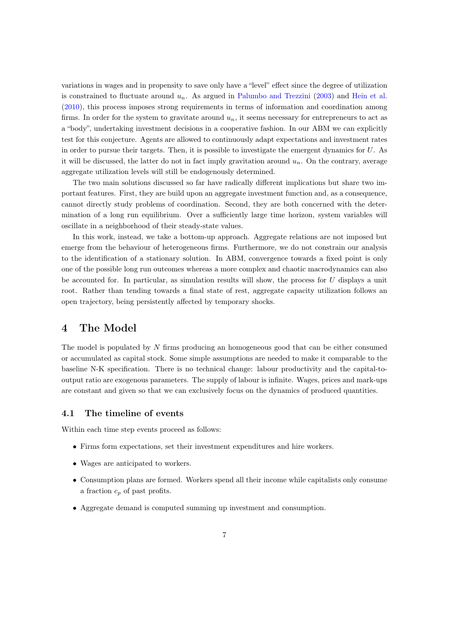variations in wages and in propensity to save only have a "level" effect since the degree of utilization is constrained to fluctuate around  $u_n$ . As argued in [Palumbo and Trezzini](#page-20-11) [\(2003\)](#page-20-11) and [Hein et al.](#page-20-2) [\(2010\)](#page-20-2), this process imposes strong requirements in terms of information and coordination among firms. In order for the system to gravitate around  $u_n$ , it seems necessary for entrepreneurs to act as a "body", undertaking investment decisions in a cooperative fashion. In our ABM we can explicitly test for this conjecture. Agents are allowed to continuously adapt expectations and investment rates in order to pursue their targets. Then, it is possible to investigate the emergent dynamics for U. As it will be discussed, the latter do not in fact imply gravitation around  $u_n$ . On the contrary, average aggregate utilization levels will still be endogenously determined.

The two main solutions discussed so far have radically different implications but share two important features. First, they are build upon an aggregate investment function and, as a consequence, cannot directly study problems of coordination. Second, they are both concerned with the determination of a long run equilibrium. Over a sufficiently large time horizon, system variables will oscillate in a neighborhood of their steady-state values.

In this work, instead, we take a bottom-up approach. Aggregate relations are not imposed but emerge from the behaviour of heterogeneous firms. Furthermore, we do not constrain our analysis to the identification of a stationary solution. In ABM, convergence towards a fixed point is only one of the possible long run outcomes whereas a more complex and chaotic macrodynamics can also be accounted for. In particular, as simulation results will show, the process for U displays a unit root. Rather than tending towards a final state of rest, aggregate capacity utilization follows an open trajectory, being persistently affected by temporary shocks.

### <span id="page-7-0"></span>4 The Model

The model is populated by N firms producing an homogeneous good that can be either consumed or accumulated as capital stock. Some simple assumptions are needed to make it comparable to the baseline N-K specification. There is no technical change: labour productivity and the capital-tooutput ratio are exogenous parameters. The supply of labour is infinite. Wages, prices and mark-ups are constant and given so that we can exclusively focus on the dynamics of produced quantities.

#### 4.1 The timeline of events

Within each time step events proceed as follows:

- Firms form expectations, set their investment expenditures and hire workers.
- Wages are anticipated to workers.
- Consumption plans are formed. Workers spend all their income while capitalists only consume a fraction  $c_p$  of past profits.
- Aggregate demand is computed summing up investment and consumption.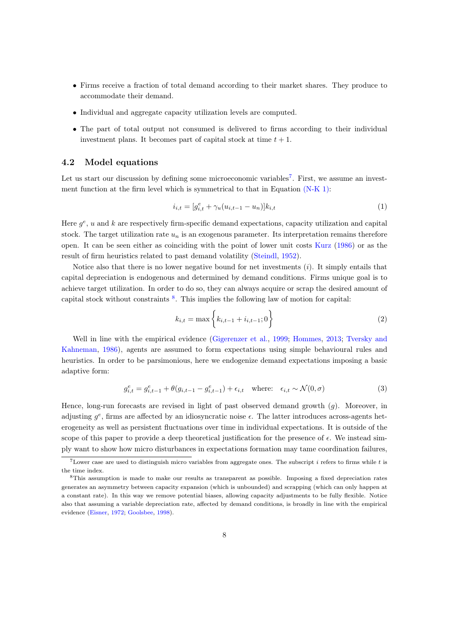- Firms receive a fraction of total demand according to their market shares. They produce to accommodate their demand.
- Individual and aggregate capacity utilization levels are computed.
- The part of total output not consumed is delivered to firms according to their individual investment plans. It becomes part of capital stock at time  $t + 1$ .

#### 4.2 Model equations

Let us start our discussion by defining some microeconomic variables<sup>[7](#page-8-0)</sup>. First, we assume an investment function at the firm level which is symmetrical to that in Equation [\(N-K 1\):](#page-4-1)

<span id="page-8-3"></span>
$$
i_{i,t} = [g_{i,t}^e + \gamma_u(u_{i,t-1} - u_n)]k_{i,t}
$$
\n(1)

Here  $g^e$ , u and k are respectively firm-specific demand expectations, capacity utilization and capital stock. The target utilization rate  $u_n$  is an exogenous parameter. Its interpretation remains therefore open. It can be seen either as coinciding with the point of lower unit costs [Kurz](#page-20-13) [\(1986\)](#page-20-13) or as the result of firm heuristics related to past demand volatility [\(Steindl,](#page-21-7) [1952\)](#page-21-7).

Notice also that there is no lower negative bound for net investments  $(i)$ . It simply entails that capital depreciation is endogenous and determined by demand conditions. Firms unique goal is to achieve target utilization. In order to do so, they can always acquire or scrap the desired amount of capital stock without constraints [8](#page-8-1) . This implies the following law of motion for capital:

$$
k_{i,t} = \max\left\{k_{i,t-1} + i_{i,t-1}; 0\right\}
$$
 (2)

Well in line with the empirical evidence [\(Gigerenzer et al.,](#page-19-9) [1999;](#page-19-9) [Hommes,](#page-20-16) [2013;](#page-20-16) [Tversky and](#page-21-10) [Kahneman,](#page-21-10) [1986\)](#page-21-10), agents are assumed to form expectations using simple behavioural rules and heuristics. In order to be parsimonious, here we endogenize demand expectations imposing a basic adaptive form:

<span id="page-8-2"></span>
$$
g_{i,t}^e = g_{i,t-1}^e + \theta(g_{i,t-1} - g_{i,t-1}^e) + \epsilon_{i,t} \quad \text{where:} \quad \epsilon_{i,t} \sim \mathcal{N}(0, \sigma) \tag{3}
$$

Hence, long-run forecasts are revised in light of past observed demand growth (g). Moreover, in adjusting  $g^e$ , firms are affected by an idiosyncratic noise  $\epsilon$ . The latter introduces across-agents heterogeneity as well as persistent fluctuations over time in individual expectations. It is outside of the scope of this paper to provide a deep theoretical justification for the presence of  $\epsilon$ . We instead simply want to show how micro disturbances in expectations formation may tame coordination failures,

<span id="page-8-0"></span><sup>7</sup>Lower case are used to distinguish micro variables from aggregate ones. The subscript i refers to firms while t is the time index.

<span id="page-8-1"></span><sup>8</sup>This assumption is made to make our results as transparent as possible. Imposing a fixed depreciation rates generates an asymmetry between capacity expansion (which is unbounded) and scrapping (which can only happen at a constant rate). In this way we remove potential biases, allowing capacity adjustments to be fully flexible. Notice also that assuming a variable depreciation rate, affected by demand conditions, is broadly in line with the empirical evidence [\(Eisner,](#page-19-10) [1972;](#page-19-10) [Goolsbee,](#page-19-11) [1998\)](#page-19-11).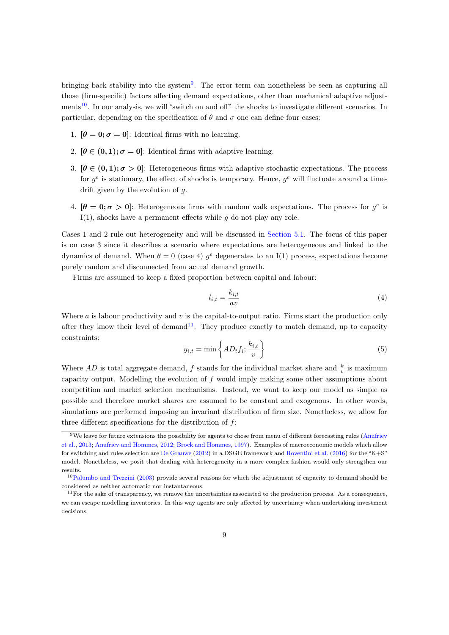bringing back stability into the system<sup>[9](#page-9-0)</sup>. The error term can nonetheless be seen as capturing all those (firm-specific) factors affecting demand expectations, other than mechanical adaptive adjust-ments<sup>[10](#page-9-1)</sup>. In our analysis, we will "switch on and off" the shocks to investigate different scenarios. In particular, depending on the specification of  $\theta$  and  $\sigma$  one can define four cases:

- 1.  $[\theta = 0; \sigma = 0]$ : Identical firms with no learning.
- 2.  $[\theta \in (0,1); \sigma = 0]$ : Identical firms with adaptive learning.
- 3.  $[\theta \in (0,1); \sigma > 0]$ : Heterogeneous firms with adaptive stochastic expectations. The process for  $g^e$  is stationary, the effect of shocks is temporary. Hence,  $g^e$  will fluctuate around a timedrift given by the evolution of  $g$ .
- 4.  $[\theta = 0; \sigma > 0]$ : Heterogeneous firms with random walk expectations. The process for  $g^e$  is  $I(1)$ , shocks have a permanent effects while g do not play any role.

Cases 1 and 2 rule out heterogeneity and will be discussed in [Section 5.1.](#page-11-0) The focus of this paper is on case 3 since it describes a scenario where expectations are heterogeneous and linked to the dynamics of demand. When  $\theta = 0$  (case 4)  $g^e$  degenerates to an I(1) process, expectations become purely random and disconnected from actual demand growth.

Firms are assumed to keep a fixed proportion between capital and labour:

<span id="page-9-3"></span>
$$
l_{i,t} = \frac{k_{i,t}}{av} \tag{4}
$$

Where  $\alpha$  is labour productivity and  $v$  is the capital-to-output ratio. Firms start the production only after they know their level of demand<sup>[11](#page-9-2)</sup>. They produce exactly to match demand, up to capacity constraints:

$$
y_{i,t} = \min\left\{ AD_t f_i; \frac{k_{i,t}}{v} \right\} \tag{5}
$$

Where AD is total aggregate demand, f stands for the individual market share and  $\frac{k}{v}$  is maximum capacity output. Modelling the evolution of  $f$  would imply making some other assumptions about competition and market selection mechanisms. Instead, we want to keep our model as simple as possible and therefore market shares are assumed to be constant and exogenous. In other words, simulations are performed imposing an invariant distribution of firm size. Nonetheless, we allow for three different specifications for the distribution of f:

<span id="page-9-0"></span><sup>9</sup>We leave for future extensions the possibility for agents to chose from menu of different forecasting rules [\(Anufriev](#page-17-2) [et al.,](#page-17-2) [2013;](#page-17-2) [Anufriev and Hommes,](#page-17-3) [2012;](#page-17-3) [Brock and Hommes,](#page-18-10) [1997\)](#page-18-10). Examples of macroeconomic models which allow for switching and rules selection are [De Grauwe](#page-18-11) [\(2012\)](#page-18-11) in a DSGE framework and [Roventini et al.](#page-21-11) [\(2016\)](#page-21-11) for the "K+S" model. Nonetheless, we posit that dealing with heterogeneity in a more complex fashion would only strengthen our results.

<span id="page-9-1"></span><sup>10</sup>[Palumbo and Trezzini](#page-20-11) [\(2003\)](#page-20-11) provide several reasons for which the adjustment of capacity to demand should be considered as neither automatic nor instantaneous.

<span id="page-9-2"></span> $11$  For the sake of transparency, we remove the uncertainties associated to the production process. As a consequence, we can escape modelling inventories. In this way agents are only affected by uncertainty when undertaking investment decisions.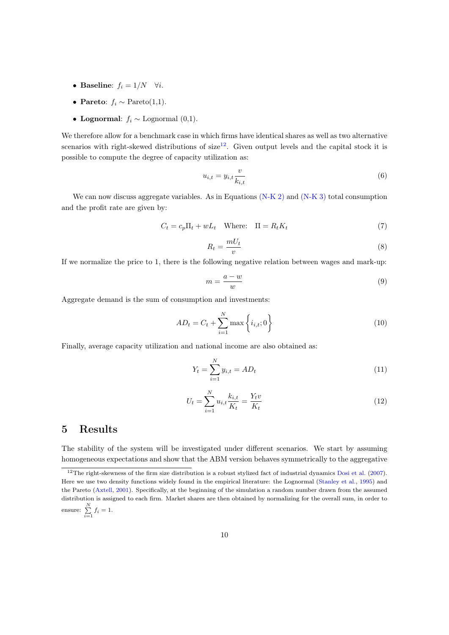- Baseline:  $f_i = 1/N \quad \forall i$ .
- Pareto:  $f_i \sim \text{Pareto}(1,1)$ .
- Lognormal:  $f_i \sim$  Lognormal (0,1).

We therefore allow for a benchmark case in which firms have identical shares as well as two alternative scenarios with right-skewed distributions of  $size^{12}$  $size^{12}$  $size^{12}$ . Given output levels and the capital stock it is possible to compute the degree of capacity utilization as:

<span id="page-10-2"></span>
$$
u_{i,t} = y_{i,t} \frac{v}{k_{i,t}} \tag{6}
$$

We can now discuss aggregate variables. As in Equations [\(N-K 2\)](#page-4-3) and [\(N-K 3\)](#page-4-4) total consumption and the profit rate are given by:

<span id="page-10-3"></span>
$$
C_t = c_p \Pi_t + wL_t \quad \text{Where:} \quad \Pi = R_t K_t \tag{7}
$$

$$
R_t = \frac{mU_t}{v} \tag{8}
$$

If we normalize the price to 1, there is the following negative relation between wages and mark-up:

$$
m = \frac{a - w}{w} \tag{9}
$$

Aggregate demand is the sum of consumption and investments:

$$
AD_t = C_t + \sum_{i=1}^{N} \max \left\{ i_{i,t}; 0 \right\}
$$
 (10)

Finally, average capacity utilization and national income are also obtained as:

$$
Y_t = \sum_{i=1}^{N} y_{i,t} = AD_t
$$
\n(11)

<span id="page-10-4"></span>
$$
U_t = \sum_{i=1}^{N} u_{i,t} \frac{k_{i,t}}{K_t} = \frac{Y_t v}{K_t}
$$
\n(12)

### <span id="page-10-0"></span>5 Results

The stability of the system will be investigated under different scenarios. We start by assuming homogeneous expectations and show that the ABM version behaves symmetrically to the aggregative

<span id="page-10-1"></span><sup>&</sup>lt;sup>12</sup>The right-skewness of the firm size distribution is a robust stylized fact of industrial dynamics [Dosi et al.](#page-19-12)  $(2007)$ . Here we use two density functions widely found in the empirical literature: the Lognormal [\(Stanley et al.,](#page-21-12) [1995\)](#page-21-12) and the Pareto [\(Axtell,](#page-18-12) [2001\)](#page-18-12). Specifically, at the beginning of the simulation a random number drawn from the assumed distribution is assigned to each firm. Market shares are then obtained by normalizing for the overall sum, in order to ensure:  $\sum_{i=1}^{N} f_i = 1$ .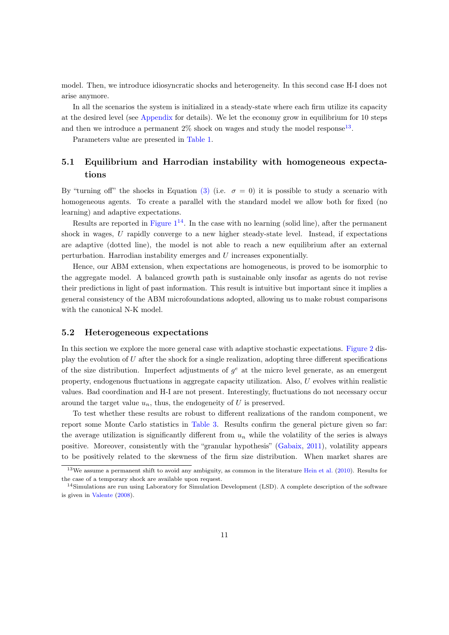model. Then, we introduce idiosyncratic shocks and heterogeneity. In this second case H-I does not arise anymore.

In all the scenarios the system is initialized in a steady-state where each firm utilize its capacity at the desired level (see [Appendix](#page-22-0) for details). We let the economy grow in equilibrium for 10 steps and then we introduce a permanent  $2\%$  shock on wages and study the model response<sup>[13](#page-11-1)</sup>.

Parameters value are presented in [Table 1.](#page-23-0)

### <span id="page-11-0"></span>5.1 Equilibrium and Harrodian instability with homogeneous expectations

By "turning off" the shocks in Equation [\(3\)](#page-8-2) (i.e.  $\sigma = 0$ ) it is possible to study a scenario with homogeneous agents. To create a parallel with the standard model we allow both for fixed (no learning) and adaptive expectations.

Results are reported in Figure  $1^{14}$  $1^{14}$  $1^{14}$ . In the case with no learning (solid line), after the permanent shock in wages, U rapidly converge to a new higher steady-state level. Instead, if expectations are adaptive (dotted line), the model is not able to reach a new equilibrium after an external perturbation. Harrodian instability emerges and U increases exponentially.

Hence, our ABM extension, when expectations are homogeneous, is proved to be isomorphic to the aggregate model. A balanced growth path is sustainable only insofar as agents do not revise their predictions in light of past information. This result is intuitive but important since it implies a general consistency of the ABM microfoundations adopted, allowing us to make robust comparisons with the canonical N-K model.

#### 5.2 Heterogeneous expectations

In this section we explore the more general case with adaptive stochastic expectations. [Figure 2](#page-25-1) display the evolution of  $U$  after the shock for a single realization, adopting three different specifications of the size distribution. Imperfect adjustments of  $g<sup>e</sup>$  at the micro level generate, as an emergent property, endogenous fluctuations in aggregate capacity utilization. Also, U evolves within realistic values. Bad coordination and H-I are not present. Interestingly, fluctuations do not necessary occur around the target value  $u_n$ , thus, the endogeneity of U is preserved.

To test whether these results are robust to different realizations of the random component, we report some Monte Carlo statistics in [Table 3.](#page-23-1) Results confirm the general picture given so far: the average utilization is significantly different from  $u_n$  while the volatility of the series is always positive. Moreover, consistently with the "granular hypothesis" [\(Gabaix,](#page-19-13) [2011\)](#page-19-13), volatility appears to be positively related to the skewness of the firm size distribution. When market shares are

<span id="page-11-1"></span><sup>13</sup>We assume a permanent shift to avoid any ambiguity, as common in the literature [Hein et al.](#page-20-2) [\(2010\)](#page-20-2). Results for the case of a temporary shock are available upon request.

<span id="page-11-2"></span><sup>&</sup>lt;sup>14</sup>Simulations are run using Laboratory for Simulation Development (LSD). A complete description of the software is given in [Valente](#page-21-13) [\(2008\)](#page-21-13).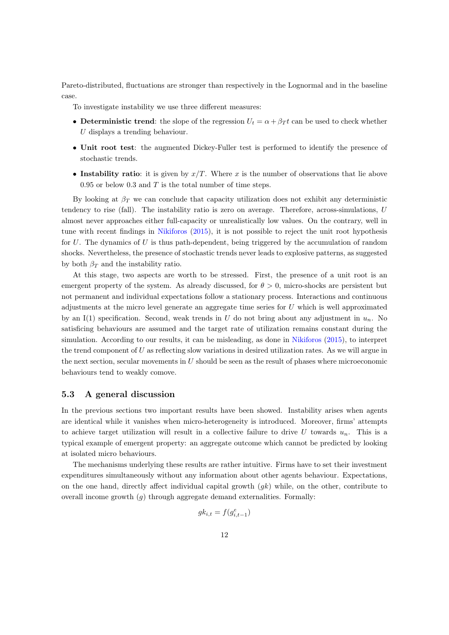Pareto-distributed, fluctuations are stronger than respectively in the Lognormal and in the baseline case.

To investigate instability we use three different measures:

- Deterministic trend: the slope of the regression  $U_t = \alpha + \beta T t$  can be used to check whether  $U$  displays a trending behaviour.
- Unit root test: the augmented Dickey-Fuller test is performed to identify the presence of stochastic trends.
- Instability ratio: it is given by  $x/T$ . Where x is the number of observations that lie above 0.95 or below 0.3 and  $T$  is the total number of time steps.

By looking at  $\beta_T$  we can conclude that capacity utilization does not exhibit any deterministic tendency to rise (fall). The instability ratio is zero on average. Therefore, across-simulations, U almost never approaches either full-capacity or unrealistically low values. On the contrary, well in tune with recent findings in [Nikiforos](#page-20-9) [\(2015\)](#page-20-9), it is not possible to reject the unit root hypothesis for  $U$ . The dynamics of  $U$  is thus path-dependent, being triggered by the accumulation of random shocks. Nevertheless, the presence of stochastic trends never leads to explosive patterns, as suggested by both  $\beta_T$  and the instability ratio.

At this stage, two aspects are worth to be stressed. First, the presence of a unit root is an emergent property of the system. As already discussed, for  $\theta > 0$ , micro-shocks are persistent but not permanent and individual expectations follow a stationary process. Interactions and continuous adjustments at the micro level generate an aggregate time series for U which is well approximated by an I(1) specification. Second, weak trends in U do not bring about any adjustment in  $u_n$ . No satisficing behaviours are assumed and the target rate of utilization remains constant during the simulation. According to our results, it can be misleading, as done in [Nikiforos](#page-20-9) [\(2015\)](#page-20-9), to interpret the trend component of  $U$  as reflecting slow variations in desired utilization rates. As we will argue in the next section, secular movements in  $U$  should be seen as the result of phases where microeconomic behaviours tend to weakly comove.

#### 5.3 A general discussion

In the previous sections two important results have been showed. Instability arises when agents are identical while it vanishes when micro-heterogeneity is introduced. Moreover, firms' attempts to achieve target utilization will result in a collective failure to drive U towards  $u_n$ . This is a typical example of emergent property: an aggregate outcome which cannot be predicted by looking at isolated micro behaviours.

The mechanisms underlying these results are rather intuitive. Firms have to set their investment expenditures simultaneously without any information about other agents behaviour. Expectations, on the one hand, directly affect individual capital growth  $(gk)$  while, on the other, contribute to overall income growth  $(q)$  through aggregate demand externalities. Formally:

$$
gk_{i,t} = f(g_{i,t-1}^e)
$$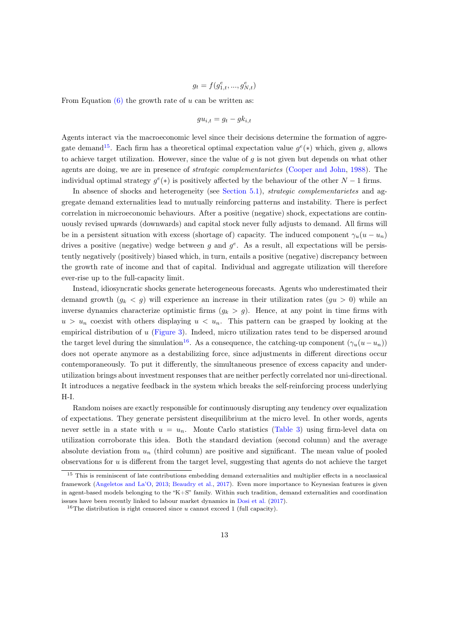$$
g_t = f(g_{1,t}^e, ..., g_{N,t}^e)
$$

From Equation  $(6)$  the growth rate of u can be written as:

$$
gu_{i,t} = g_t - g_{i,t}
$$

Agents interact via the macroeconomic level since their decisions determine the formation of aggre-gate demand<sup>[15](#page-13-0)</sup>. Each firm has a theoretical optimal expectation value  $g^e(*)$  which, given g, allows to achieve target utilization. However, since the value of  $q$  is not given but depends on what other agents are doing, we are in presence of strategic complementarietes [\(Cooper and John,](#page-18-1) [1988\)](#page-18-1). The individual optimal strategy  $g^e(*)$  is positively affected by the behaviour of the other  $N-1$  firms.

In absence of shocks and heterogeneity (see [Section 5.1\)](#page-11-0), *strategic complementarietes* and aggregate demand externalities lead to mutually reinforcing patterns and instability. There is perfect correlation in microeconomic behaviours. After a positive (negative) shock, expectations are continuously revised upwards (downwards) and capital stock never fully adjusts to demand. All firms will be in a persistent situation with excess (shortage of) capacity. The induced component  $\gamma_u(u - u_n)$ drives a positive (negative) wedge between g and  $g^e$ . As a result, all expectations will be persistently negatively (positively) biased which, in turn, entails a positive (negative) discrepancy between the growth rate of income and that of capital. Individual and aggregate utilization will therefore ever-rise up to the full-capacity limit.

Instead, idiosyncratic shocks generate heterogeneous forecasts. Agents who underestimated their demand growth  $(g_k < g)$  will experience an increase in their utilization rates  $(g_u > 0)$  while an inverse dynamics characterize optimistic firms  $(q_k > q)$ . Hence, at any point in time firms with  $u > u_n$  coexist with others displaying  $u < u_n$ . This pattern can be grasped by looking at the empirical distribution of u [\(Figure 3\)](#page-26-0). Indeed, micro utilization rates tend to be dispersed around the target level during the simulation<sup>[16](#page-13-1)</sup>. As a consequence, the catching-up component  $(\gamma_u(u-u_n))$ does not operate anymore as a destabilizing force, since adjustments in different directions occur contemporaneously. To put it differently, the simultaneous presence of excess capacity and underutilization brings about investment responses that are neither perfectly correlated nor uni-directional. It introduces a negative feedback in the system which breaks the self-reinforcing process underlying H-I.

Random noises are exactly responsible for continuously disrupting any tendency over equalization of expectations. They generate persistent disequilibrium at the micro level. In other words, agents never settle in a state with  $u = u_n$ . Monte Carlo statistics [\(Table 3\)](#page-24-0) using firm-level data on utilization corroborate this idea. Both the standard deviation (second column) and the average absolute deviation from  $u_n$  (third column) are positive and significant. The mean value of pooled observations for  $u$  is different from the target level, suggesting that agents do not achieve the target

<span id="page-13-0"></span><sup>&</sup>lt;sup>15</sup> This is reminiscent of late contributions embedding demand externalities and multiplier effects in a neoclassical framework [\(Angeletos and La'O,](#page-17-4) [2013;](#page-17-4) [Beaudry et al.,](#page-18-13) [2017\)](#page-18-13). Even more importance to Keynesian features is given in agent-based models belonging to the "K+S" family. Within such tradition, demand externalities and coordination issues have been recently linked to labour market dynamics in [Dosi et al.](#page-19-3) [\(2017\)](#page-19-3).

<span id="page-13-1"></span><sup>&</sup>lt;sup>16</sup>The distribution is right censored since u cannot exceed 1 (full capacity).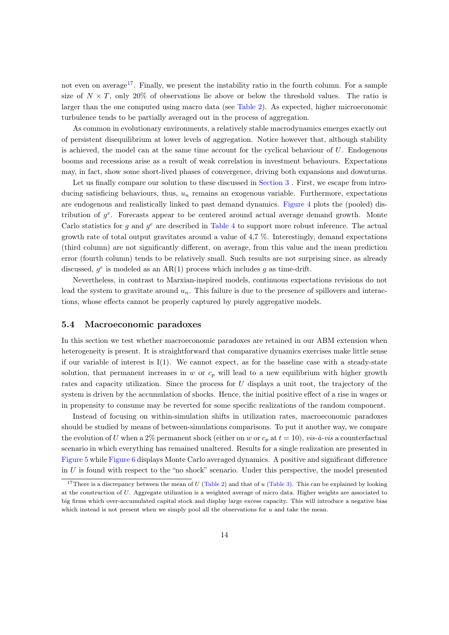not even on average<sup>[17](#page-14-0)</sup>. Finally, we present the instability ratio in the fourth column. For a sample size of  $N \times T$ , only 20% of observations lie above or below the threshold values. The ratio is larger than the one computed using macro data (see [Table 2\)](#page-23-1). As expected, higher microeconomic turbulence tends to be partially averaged out in the process of aggregation.

As common in evolutionary environments, a relatively stable macrodynamics emerges exactly out of persistent disequilibrium at lower levels of aggregation. Notice however that, although stability is achieved, the model can at the same time account for the cyclical behaviour of  $U$ . Endogenous booms and recessions arise as a result of weak correlation in investment behaviours. Expectations may, in fact, show some short-lived phases of convergence, driving both expansions and downturns.

Let us finally compare our solution to these discussed in [Section 3](#page-6-0). First, we escape from introducing satisficing behaviours, thus,  $u_n$  remains an exogenous variable. Furthermore, expectations are endogenous and realistically linked to past demand dynamics. [Figure 4](#page-26-1) plots the (pooled) distribution of  $g^e$ . Forecasts appear to be centered around actual average demand growth. Monte Carlo statistics for g and  $g^e$  are described in [Table 4](#page-24-1) to support more robust inference. The actual growth rate of total output gravitates around a value of 4,7 %. Interestingly, demand expectations (third column) are not significantly different, on average, from this value and the mean prediction error (fourth column) tends to be relatively small. Such results are not surprising since, as already discussed,  $g^e$  is modeled as an AR(1) process which includes g as time-drift.

Nevertheless, in contrast to Marxian-inspired models, continuous expectations revisions do not lead the system to gravitate around  $u_n$ . This failure is due to the presence of spillovers and interactions, whose effects cannot be properly captured by purely aggregative models.

#### 5.4 Macroeconomic paradoxes

In this section we test whether macroeconomic paradoxes are retained in our ABM extension when heterogeneity is present. It is straightforward that comparative dynamics exercises make little sense if our variable of interest is  $I(1)$ . We cannot expect, as for the baseline case with a steady-state solution, that permanent increases in  $w$  or  $c_p$  will lead to a new equilibrium with higher growth rates and capacity utilization. Since the process for U displays a unit root, the trajectory of the system is driven by the accumulation of shocks. Hence, the initial positive effect of a rise in wages or in propensity to consume may be reverted for some specific realizations of the random component.

Instead of focusing on within-simulation shifts in utilization rates, macroeconomic paradoxes should be studied by means of between-simulations comparisons. To put it another way, we compare the evolution of U when a 2% permanent shock (either on w or  $c_p$  at  $t = 10$ ), vis-à-vis a counterfactual scenario in which everything has remained unaltered. Results for a single realization are presented in [Figure 5](#page-27-0) while [Figure 6](#page-27-1) displays Monte Carlo averaged dynamics. A positive and significant difference in  $U$  is found with respect to the "no shock" scenario. Under this perspective, the model presented

<span id="page-14-0"></span><sup>&</sup>lt;sup>17</sup>There is a discrepancy between the mean of U [\(Table 2\)](#page-23-1) and that of u [\(Table 3\)](#page-24-0). This can be explained by looking at the construction of U. Aggregate utilization is a weighted average of micro data. Higher weights are associated to big firms which over-accumulated capital stock and display large excess capacity. This will introduce a negative bias which instead is not present when we simply pool all the observations for u and take the mean.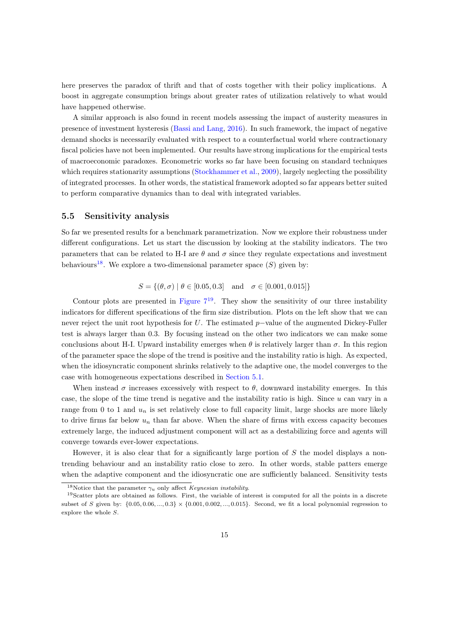here preserves the paradox of thrift and that of costs together with their policy implications. A boost in aggregate consumption brings about greater rates of utilization relatively to what would have happened otherwise.

A similar approach is also found in recent models assessing the impact of austerity measures in presence of investment hysteresis [\(Bassi and Lang,](#page-18-14) [2016\)](#page-18-14). In such framework, the impact of negative demand shocks is necessarily evaluated with respect to a counterfactual world where contractionary fiscal policies have not been implemented. Our results have strong implications for the empirical tests of macroeconomic paradoxes. Econometric works so far have been focusing on standard techniques which requires stationarity assumptions [\(Stockhammer et al.,](#page-21-14) [2009\)](#page-21-14), largely neglecting the possibility of integrated processes. In other words, the statistical framework adopted so far appears better suited to perform comparative dynamics than to deal with integrated variables.

#### 5.5 Sensitivity analysis

So far we presented results for a benchmark parametrization. Now we explore their robustness under different configurations. Let us start the discussion by looking at the stability indicators. The two parameters that can be related to H-I are  $\theta$  and  $\sigma$  since they regulate expectations and investment behaviours<sup>[18](#page-15-0)</sup>. We explore a two-dimensional parameter space  $(S)$  given by:

$$
S = \{ (\theta, \sigma) \mid \theta \in [0.05, 0.3] \text{ and } \sigma \in [0.001, 0.015] \}
$$

Contour plots are presented in Figure  $7^{19}$  $7^{19}$  $7^{19}$ . They show the sensitivity of our three instability indicators for different specifications of the firm size distribution. Plots on the left show that we can never reject the unit root hypothesis for U. The estimated p−value of the augmented Dickey-Fuller test is always larger than 0.3. By focusing instead on the other two indicators we can make some conclusions about H-I. Upward instability emerges when  $\theta$  is relatively larger than  $\sigma$ . In this region of the parameter space the slope of the trend is positive and the instability ratio is high. As expected, when the idiosyncratic component shrinks relatively to the adaptive one, the model converges to the case with homogeneous expectations described in [Section 5.1.](#page-11-0)

When instead  $\sigma$  increases excessively with respect to  $\theta$ , downward instability emerges. In this case, the slope of the time trend is negative and the instability ratio is high. Since u can vary in a range from 0 to 1 and  $u_n$  is set relatively close to full capacity limit, large shocks are more likely to drive firms far below  $u_n$  than far above. When the share of firms with excess capacity becomes extremely large, the induced adjustment component will act as a destabilizing force and agents will converge towards ever-lower expectations.

However, it is also clear that for a significantly large portion of  $S$  the model displays a nontrending behaviour and an instability ratio close to zero. In other words, stable patters emerge when the adaptive component and the idiosyncratic one are sufficiently balanced. Sensitivity tests

<span id="page-15-1"></span><span id="page-15-0"></span><sup>&</sup>lt;sup>18</sup>Notice that the parameter  $\gamma_u$  only affect *Keynesian instability*.

<sup>19</sup>Scatter plots are obtained as follows. First, the variable of interest is computed for all the points in a discrete subset of S given by:  $\{0.05, 0.06, ..., 0.3\} \times \{0.001, 0.002, ..., 0.015\}$ . Second, we fit a local polynomial regression to explore the whole S.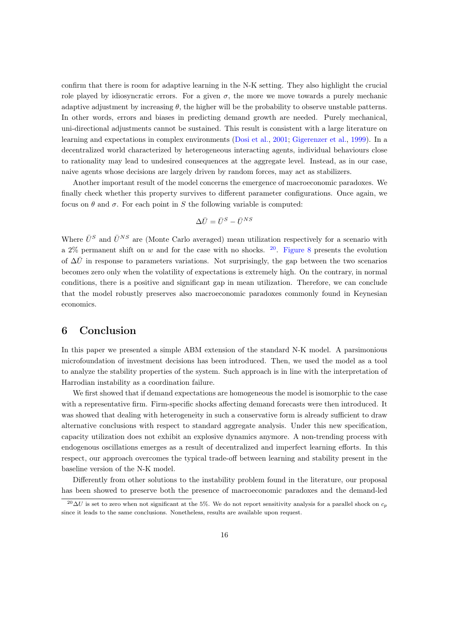confirm that there is room for adaptive learning in the N-K setting. They also highlight the crucial role played by idiosyncratic errors. For a given  $\sigma$ , the more we move towards a purely mechanic adaptive adjustment by increasing  $\theta$ , the higher will be the probability to observe unstable patterns. In other words, errors and biases in predicting demand growth are needed. Purely mechanical, uni-directional adjustments cannot be sustained. This result is consistent with a large literature on learning and expectations in complex environments [\(Dosi et al.,](#page-19-14) [2001;](#page-19-14) [Gigerenzer et al.,](#page-19-9) [1999\)](#page-19-9). In a decentralized world characterized by heterogeneous interacting agents, individual behaviours close to rationality may lead to undesired consequences at the aggregate level. Instead, as in our case, naive agents whose decisions are largely driven by random forces, may act as stabilizers.

Another important result of the model concerns the emergence of macroeconomic paradoxes. We finally check whether this property survives to different parameter configurations. Once again, we focus on  $\theta$  and  $\sigma$ . For each point in S the following variable is computed:

$$
\Delta \bar{U} = \bar{U}^S - \bar{U}^{NS}
$$

Where  $\bar{U}^S$  and  $\bar{U}^{NS}$  are (Monte Carlo averaged) mean utilization respectively for a scenario with a 2% permanent shift on w and for the case with no shocks.  $20$ . [Figure 8](#page-28-1) presents the evolution of  $\Delta\bar{U}$  in response to parameters variations. Not surprisingly, the gap between the two scenarios becomes zero only when the volatility of expectations is extremely high. On the contrary, in normal conditions, there is a positive and significant gap in mean utilization. Therefore, we can conclude that the model robustly preserves also macroeconomic paradoxes commonly found in Keynesian economics.

### <span id="page-16-0"></span>6 Conclusion

In this paper we presented a simple ABM extension of the standard N-K model. A parsimonious microfoundation of investment decisions has been introduced. Then, we used the model as a tool to analyze the stability properties of the system. Such approach is in line with the interpretation of Harrodian instability as a coordination failure.

We first showed that if demand expectations are homogeneous the model is isomorphic to the case with a representative firm. Firm-specific shocks affecting demand forecasts were then introduced. It was showed that dealing with heterogeneity in such a conservative form is already sufficient to draw alternative conclusions with respect to standard aggregate analysis. Under this new specification, capacity utilization does not exhibit an explosive dynamics anymore. A non-trending process with endogenous oscillations emerges as a result of decentralized and imperfect learning efforts. In this respect, our approach overcomes the typical trade-off between learning and stability present in the baseline version of the N-K model.

Differently from other solutions to the instability problem found in the literature, our proposal has been showed to preserve both the presence of macroeconomic paradoxes and the demand-led

<span id="page-16-1"></span><sup>&</sup>lt;sup>20</sup>∆U is set to zero when not significant at the 5%. We do not report sensitivity analysis for a parallel shock on  $c_p$ since it leads to the same conclusions. Nonetheless, results are available upon request.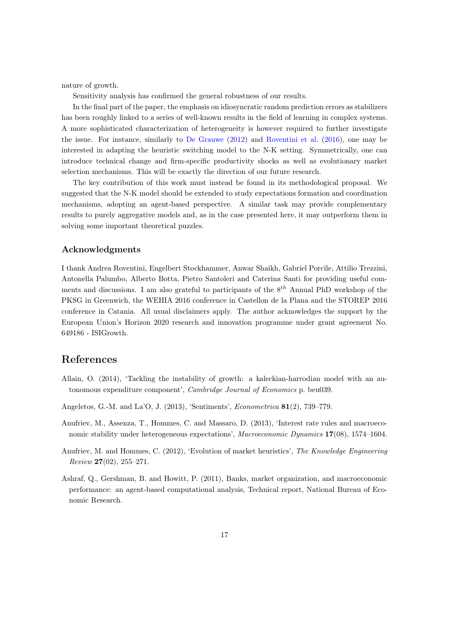nature of growth.

Sensitivity analysis has confirmed the general robustness of our results.

In the final part of the paper, the emphasis on idiosyncratic random prediction errors as stabilizers has been roughly linked to a series of well-known results in the field of learning in complex systems. A more sophisticated characterization of heterogeneity is however required to further investigate the issue. For instance, similarly to [De Grauwe](#page-18-11) [\(2012\)](#page-18-11) and [Roventini et al.](#page-21-11) [\(2016\)](#page-21-11), one may be interested in adapting the heuristic switching model to the N-K setting. Symmetrically, one can introduce technical change and firm-specific productivity shocks as well as evolutionary market selection mechanisms. This will be exactly the direction of our future research.

The key contribution of this work must instead be found in its methodological proposal. We suggested that the N-K model should be extended to study expectations formation and coordination mechanisms, adopting an agent-based perspective. A similar task may provide complementary results to purely aggregative models and, as in the case presented here, it may outperform them in solving some important theoretical puzzles.

#### Acknowledgments

I thank Andrea Roventini, Engelbert Stockhammer, Anwar Shaikh, Gabriel Porcile, Attilio Trezzini, Antonella Palumbo, Alberto Botta, Pietro Santoleri and Caterina Santi for providing useful comments and discussions. I am also grateful to participants of the  $8^{th}$  Annual PhD workshop of the PKSG in Greenwich, the WEHIA 2016 conference in Castellon de la Plana and the STOREP 2016 conference in Catania. All usual disclaimers apply. The author acknowledges the support by the European Union's Horizon 2020 research and innovation programme under grant agreement No. 649186 - ISIGrowth.

### References

- <span id="page-17-1"></span>Allain, O. (2014), 'Tackling the instability of growth: a kaleckian-harrodian model with an autonomous expenditure component', Cambridge Journal of Economics p. beu039.
- <span id="page-17-4"></span>Angeletos, G.-M. and La'O, J. (2013), 'Sentiments', Econometrica 81(2), 739–779.
- <span id="page-17-2"></span>Anufriev, M., Assenza, T., Hommes, C. and Massaro, D. (2013), 'Interest rate rules and macroeconomic stability under heterogeneous expectations', Macroeconomic Dynamics 17(08), 1574–1604.
- <span id="page-17-3"></span>Anufriev, M. and Hommes, C. (2012), 'Evolution of market heuristics', The Knowledge Engineering Review 27(02), 255–271.
- <span id="page-17-0"></span>Ashraf, Q., Gershman, B. and Howitt, P. (2011), Banks, market organization, and macroeconomic performance: an agent-based computational analysis, Technical report, National Bureau of Economic Research.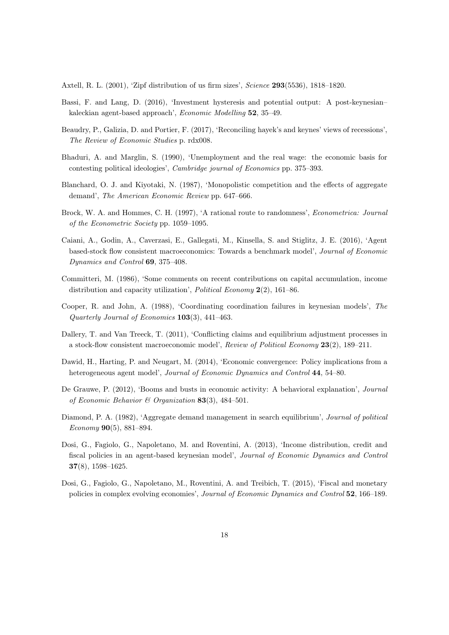<span id="page-18-12"></span>Axtell, R. L. (2001), 'Zipf distribution of us firm sizes', Science 293(5536), 1818–1820.

- <span id="page-18-14"></span>Bassi, F. and Lang, D. (2016), 'Investment hysteresis and potential output: A post-keynesian– kaleckian agent-based approach', Economic Modelling 52, 35–49.
- <span id="page-18-13"></span>Beaudry, P., Galizia, D. and Portier, F. (2017), 'Reconciling hayek's and keynes' views of recessions', The Review of Economic Studies p. rdx008.
- <span id="page-18-0"></span>Bhaduri, A. and Marglin, S. (1990), 'Unemployment and the real wage: the economic basis for contesting political ideologies', Cambridge journal of Economics pp. 375–393.
- <span id="page-18-2"></span>Blanchard, O. J. and Kiyotaki, N. (1987), 'Monopolistic competition and the effects of aggregate demand', The American Economic Review pp. 647–666.
- <span id="page-18-10"></span>Brock, W. A. and Hommes, C. H. (1997), 'A rational route to randomness', Econometrica: Journal of the Econometric Society pp. 1059–1095.
- <span id="page-18-7"></span>Caiani, A., Godin, A., Caverzasi, E., Gallegati, M., Kinsella, S. and Stiglitz, J. E. (2016), 'Agent based-stock flow consistent macroeconomics: Towards a benchmark model', Journal of Economic Dynamics and Control 69, 375–408.
- <span id="page-18-8"></span>Committeri, M. (1986), 'Some comments on recent contributions on capital accumulation, income distribution and capacity utilization', *Political Economy*  $2(2)$ , 161–86.
- <span id="page-18-1"></span>Cooper, R. and John, A. (1988), 'Coordinating coordination failures in keynesian models', The Quarterly Journal of Economics 103(3), 441–463.
- <span id="page-18-9"></span>Dallery, T. and Van Treeck, T. (2011), 'Conflicting claims and equilibrium adjustment processes in a stock-flow consistent macroeconomic model', Review of Political Economy 23(2), 189–211.
- <span id="page-18-4"></span>Dawid, H., Harting, P. and Neugart, M. (2014), 'Economic convergence: Policy implications from a heterogeneous agent model', Journal of Economic Dynamics and Control 44, 54–80.
- <span id="page-18-11"></span>De Grauwe, P. (2012), 'Booms and busts in economic activity: A behavioral explanation', Journal of Economic Behavior & Organization 83(3), 484-501.
- <span id="page-18-3"></span>Diamond, P. A. (1982), 'Aggregate demand management in search equilibrium', Journal of political Economy 90(5), 881–894.
- <span id="page-18-5"></span>Dosi, G., Fagiolo, G., Napoletano, M. and Roventini, A. (2013), 'Income distribution, credit and fiscal policies in an agent-based keynesian model', Journal of Economic Dynamics and Control 37(8), 1598–1625.
- <span id="page-18-6"></span>Dosi, G., Fagiolo, G., Napoletano, M., Roventini, A. and Treibich, T. (2015), 'Fiscal and monetary policies in complex evolving economies', Journal of Economic Dynamics and Control 52, 166–189.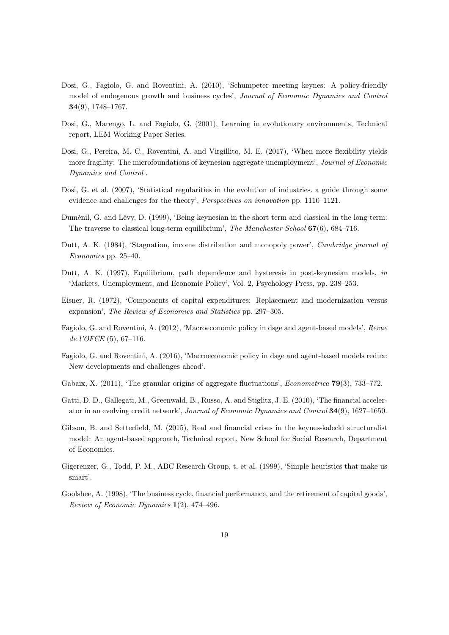- <span id="page-19-2"></span>Dosi, G., Fagiolo, G. and Roventini, A. (2010), 'Schumpeter meeting keynes: A policy-friendly model of endogenous growth and business cycles', Journal of Economic Dynamics and Control 34(9), 1748–1767.
- <span id="page-19-14"></span>Dosi, G., Marengo, L. and Fagiolo, G. (2001), Learning in evolutionary environments, Technical report, LEM Working Paper Series.
- <span id="page-19-3"></span>Dosi, G., Pereira, M. C., Roventini, A. and Virgillito, M. E. (2017), 'When more flexibility yields more fragility: The microfoundations of keynesian aggregate unemployment', Journal of Economic Dynamics and Control .
- <span id="page-19-12"></span>Dosi, G. et al. (2007), 'Statistical regularities in the evolution of industries. a guide through some evidence and challenges for the theory', Perspectives on innovation pp. 1110–1121.
- <span id="page-19-8"></span>Duménil, G. and Lévy, D. (1999), 'Being keynesian in the short term and classical in the long term: The traverse to classical long-term equilibrium', The Manchester School 67(6), 684–716.
- <span id="page-19-0"></span>Dutt, A. K. (1984), 'Stagnation, income distribution and monopoly power', Cambridge journal of Economics pp. 25–40.
- <span id="page-19-7"></span>Dutt, A. K. (1997), Equilibrium, path dependence and hysteresis in post-keynesian models, in 'Markets, Unemployment, and Economic Policy', Vol. 2, Psychology Press, pp. 238–253.
- <span id="page-19-10"></span>Eisner, R. (1972), 'Components of capital expenditures: Replacement and modernization versus expansion', The Review of Economics and Statistics pp. 297–305.
- <span id="page-19-4"></span>Fagiolo, G. and Roventini, A. (2012), 'Macroeconomic policy in dsge and agent-based models', Revue de l'OFCE (5), 67–116.
- <span id="page-19-5"></span>Fagiolo, G. and Roventini, A. (2016), 'Macroeconomic policy in dsge and agent-based models redux: New developments and challenges ahead'.
- <span id="page-19-13"></span>Gabaix, X. (2011), 'The granular origins of aggregate fluctuations', Econometrica 79(3), 733–772.
- <span id="page-19-1"></span>Gatti, D. D., Gallegati, M., Greenwald, B., Russo, A. and Stiglitz, J. E. (2010), 'The financial accelerator in an evolving credit network', Journal of Economic Dynamics and Control 34(9), 1627–1650.
- <span id="page-19-6"></span>Gibson, B. and Setterfield, M. (2015), Real and financial crises in the keynes-kalecki structuralist model: An agent-based approach, Technical report, New School for Social Research, Department of Economics.
- <span id="page-19-9"></span>Gigerenzer, G., Todd, P. M., ABC Research Group, t. et al. (1999), 'Simple heuristics that make us smart'.
- <span id="page-19-11"></span>Goolsbee, A. (1998), 'The business cycle, financial performance, and the retirement of capital goods', Review of Economic Dynamics 1(2), 474–496.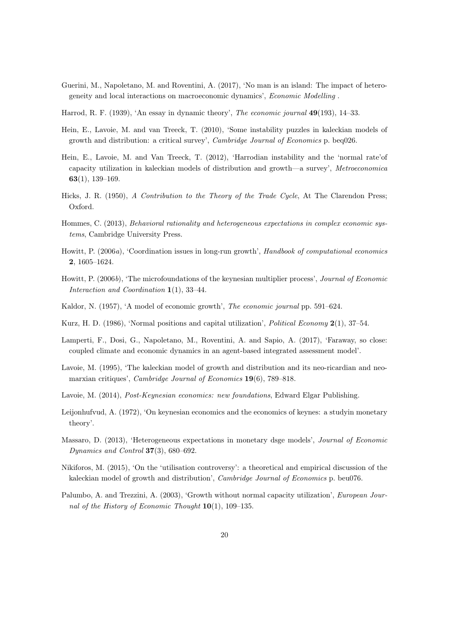- <span id="page-20-8"></span>Guerini, M., Napoletano, M. and Roventini, A. (2017), 'No man is an island: The impact of heterogeneity and local interactions on macroeconomic dynamics', Economic Modelling .
- <span id="page-20-0"></span>Harrod, R. F. (1939), 'An essay in dynamic theory', The economic journal 49(193), 14–33.
- <span id="page-20-2"></span>Hein, E., Lavoie, M. and van Treeck, T. (2010), 'Some instability puzzles in kaleckian models of growth and distribution: a critical survey', Cambridge Journal of Economics p. beq026.
- <span id="page-20-15"></span>Hein, E., Lavoie, M. and Van Treeck, T. (2012), 'Harrodian instability and the 'normal rate'of capacity utilization in kaleckian models of distribution and growth—a survey', Metroeconomica 63(1), 139–169.
- <span id="page-20-12"></span>Hicks, J. R. (1950), A Contribution to the Theory of the Trade Cycle, At The Clarendon Press; Oxford.
- <span id="page-20-16"></span>Hommes, C. (2013), Behavioral rationality and heterogeneous expectations in complex economic systems, Cambridge University Press.
- <span id="page-20-3"></span>Howitt, P. (2006a), 'Coordination issues in long-run growth', Handbook of computational economics 2, 1605–1624.
- <span id="page-20-4"></span>Howitt, P. (2006b), 'The microfoundations of the keynesian multiplier process', Journal of Economic Interaction and Coordination 1(1), 33–44.
- <span id="page-20-1"></span>Kaldor, N. (1957), 'A model of economic growth', The economic journal pp. 591–624.
- <span id="page-20-13"></span>Kurz, H. D. (1986), 'Normal positions and capital utilization', Political Economy 2(1), 37–54.
- <span id="page-20-6"></span>Lamperti, F., Dosi, G., Napoletano, M., Roventini, A. and Sapio, A. (2017), 'Faraway, so close: coupled climate and economic dynamics in an agent-based integrated assessment model'.
- <span id="page-20-10"></span>Lavoie, M. (1995), 'The kaleckian model of growth and distribution and its neo-ricardian and neomarxian critiques', *Cambridge Journal of Economics* 19(6), 789–818.
- <span id="page-20-14"></span>Lavoie, M. (2014), Post-Keynesian economics: new foundations, Edward Elgar Publishing.
- <span id="page-20-5"></span>Leijonhufvud, A. (1972), 'On keynesian economics and the economics of keynes: a studyin monetary theory'.
- <span id="page-20-7"></span>Massaro, D. (2013), 'Heterogeneous expectations in monetary dsge models', Journal of Economic Dynamics and Control 37(3), 680–692.
- <span id="page-20-9"></span>Nikiforos, M. (2015), 'On the 'utilisation controversy': a theoretical and empirical discussion of the kaleckian model of growth and distribution', Cambridge Journal of Economics p. beu076.
- <span id="page-20-11"></span>Palumbo, A. and Trezzini, A. (2003), 'Growth without normal capacity utilization', European Journal of the History of Economic Thought  $10(1)$ , 109-135.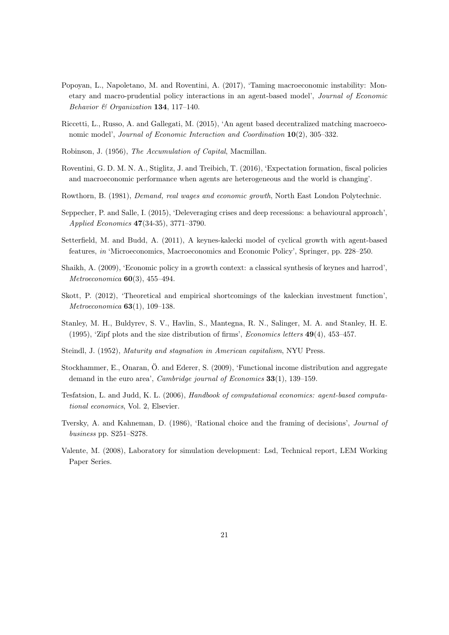- <span id="page-21-5"></span>Popoyan, L., Napoletano, M. and Roventini, A. (2017), 'Taming macroeconomic instability: Monetary and macro-prudential policy interactions in an agent-based model', Journal of Economic Behavior & Organization 134, 117–140.
- <span id="page-21-3"></span>Riccetti, L., Russo, A. and Gallegati, M. (2015), 'An agent based decentralized matching macroeconomic model', Journal of Economic Interaction and Coordination 10(2), 305-332.
- <span id="page-21-1"></span>Robinson, J. (1956), The Accumulation of Capital, Macmillan.
- <span id="page-21-11"></span>Roventini, G. D. M. N. A., Stiglitz, J. and Treibich, T. (2016), 'Expectation formation, fiscal policies and macroeconomic performance when agents are heterogeneous and the world is changing'.
- <span id="page-21-0"></span>Rowthorn, B. (1981), Demand, real wages and economic growth, North East London Polytechnic.
- <span id="page-21-4"></span>Seppecher, P. and Salle, I. (2015), 'Deleveraging crises and deep recessions: a behavioural approach', Applied Economics 47(34-35), 3771–3790.
- <span id="page-21-6"></span>Setterfield, M. and Budd, A. (2011), A keynes-kalecki model of cyclical growth with agent-based features, in 'Microeconomics, Macroeconomics and Economic Policy', Springer, pp. 228–250.
- <span id="page-21-8"></span>Shaikh, A. (2009), 'Economic policy in a growth context: a classical synthesis of keynes and harrod', Metroeconomica 60(3), 455–494.
- <span id="page-21-9"></span>Skott, P. (2012), 'Theoretical and empirical shortcomings of the kaleckian investment function', Metroeconomica 63(1), 109–138.
- <span id="page-21-12"></span>Stanley, M. H., Buldyrev, S. V., Havlin, S., Mantegna, R. N., Salinger, M. A. and Stanley, H. E. (1995), 'Zipf plots and the size distribution of firms', Economics letters 49(4), 453–457.
- <span id="page-21-7"></span>Steindl, J. (1952), Maturity and stagnation in American capitalism, NYU Press.
- <span id="page-21-14"></span>Stockhammer, E., Onaran, Ö. and Ederer, S. (2009), 'Functional income distribution and aggregate demand in the euro area', *Cambridge journal of Economics* 33(1), 139–159.
- <span id="page-21-2"></span>Tesfatsion, L. and Judd, K. L. (2006), Handbook of computational economics: agent-based computational economics, Vol. 2, Elsevier.
- <span id="page-21-10"></span>Tversky, A. and Kahneman, D. (1986), 'Rational choice and the framing of decisions', Journal of business pp. S251–S278.
- <span id="page-21-13"></span>Valente, M. (2008), Laboratory for simulation development: Lsd, Technical report, LEM Working Paper Series.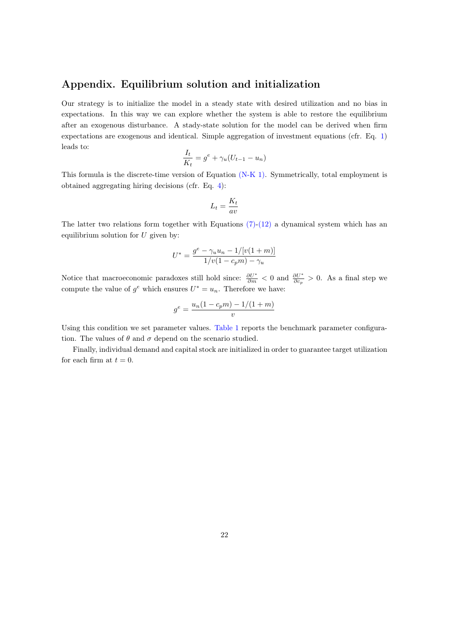### <span id="page-22-0"></span>Appendix. Equilibrium solution and initialization

Our strategy is to initialize the model in a steady state with desired utilization and no bias in expectations. In this way we can explore whether the system is able to restore the equilibrium after an exogenous disturbance. A stady-state solution for the model can be derived when firm expectations are exogenous and identical. Simple aggregation of investment equations (cfr. Eq. [1\)](#page-8-3) leads to:

$$
\frac{I_t}{K_t} = g^e + \gamma_u (U_{t-1} - u_n)
$$

This formula is the discrete-time version of Equation [\(N-K 1\).](#page-4-1) Symmetrically, total employment is obtained aggregating hiring decisions (cfr. Eq. [4\)](#page-9-3):

$$
L_t = \frac{K_t}{av}
$$

The latter two relations form together with Equations  $(7)-(12)$  $(7)-(12)$  a dynamical system which has an equilibrium solution for  $U$  given by:

$$
U^* = \frac{g^e - \gamma_u u_n - 1/[v(1+m)]}{1/v(1-c_p m) - \gamma_u}
$$

Notice that macroeconomic paradoxes still hold since:  $\frac{\partial U^*}{\partial m} < 0$  and  $\frac{\partial U^*}{\partial c_p} > 0$ . As a final step we compute the value of  $g^e$  which ensures  $U^* = u_n$ . Therefore we have:

$$
g^e = \frac{u_n(1 - c_p m) - 1/(1 + m)}{v}
$$

Using this condition we set parameter values. [Table 1](#page-23-0) reports the benchmark parameter configuration. The values of  $\theta$  and  $\sigma$  depend on the scenario studied.

Finally, individual demand and capital stock are initialized in order to guarantee target utilization for each firm at  $t = 0$ .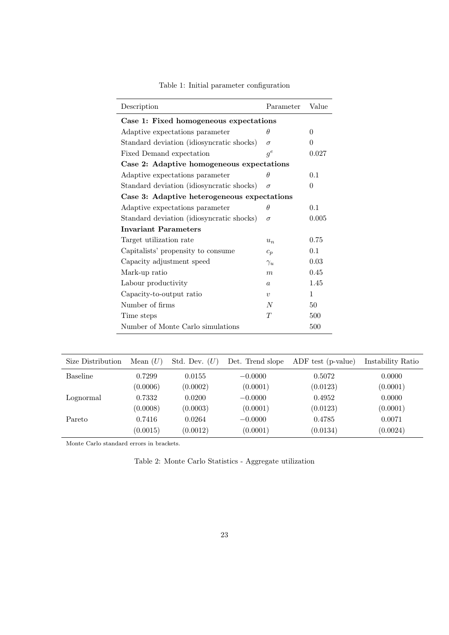<span id="page-23-0"></span>

| Description                                 | Parameter        | Value    |  |  |  |  |
|---------------------------------------------|------------------|----------|--|--|--|--|
| Case 1: Fixed homogeneous expectations      |                  |          |  |  |  |  |
| Adaptive expectations parameter             | $\theta$         | 0        |  |  |  |  |
| Standard deviation (idiosyncratic shocks)   | $\sigma$         | $\Omega$ |  |  |  |  |
| Fixed Demand expectation                    | $g^e$            | 0.027    |  |  |  |  |
| Case 2: Adaptive homogeneous expectations   |                  |          |  |  |  |  |
| Adaptive expectations parameter             | $\theta$         | 0.1      |  |  |  |  |
| Standard deviation (idiosyncratic shocks)   | $\sigma$         | $\theta$ |  |  |  |  |
| Case 3: Adaptive heterogeneous expectations |                  |          |  |  |  |  |
| Adaptive expectations parameter             | $\theta$         | 0.1      |  |  |  |  |
| Standard deviation (idiosyncratic shocks)   | $\sigma$         | 0.005    |  |  |  |  |
| <b>Invariant Parameters</b>                 |                  |          |  |  |  |  |
| Target utilization rate                     | $u_n$            | 0.75     |  |  |  |  |
| Capitalists' propensity to consume          | $c_p$            | 0.1      |  |  |  |  |
| Capacity adjustment speed                   | $\gamma_u$       | 0.03     |  |  |  |  |
| Mark-up ratio                               | $\boldsymbol{m}$ | 0.45     |  |  |  |  |
| Labour productivity                         | $\alpha$         | 1.45     |  |  |  |  |
| Capacity-to-output ratio                    | $\boldsymbol{v}$ | 1        |  |  |  |  |
| Number of firms                             | N                | 50       |  |  |  |  |
| Time steps                                  | T                | 500      |  |  |  |  |
| Number of Monte Carlo simulations           |                  | 500      |  |  |  |  |

| Table 1: Initial parameter configuration |  |  |
|------------------------------------------|--|--|
|------------------------------------------|--|--|

<span id="page-23-1"></span>

| Size Distribution | Mean $(U)$ | Std. Dev. $(U)$ | Det. Trend slope | ADF test (p-value) | Instability Ratio |
|-------------------|------------|-----------------|------------------|--------------------|-------------------|
| Baseline          | 0.7299     | 0.0155          | $-0.0000$        | 0.5072             | 0.0000            |
|                   | (0.0006)   | (0.0002)        | (0.0001)         | (0.0123)           | (0.0001)          |
| Lognormal         | 0.7332     | 0.0200          | $-0.0000$        | 0.4952             | 0.0000            |
|                   | (0.0008)   | (0.0003)        | (0.0001)         | (0.0123)           | (0.0001)          |
| Pareto            | 0.7416     | 0.0264          | $-0.0000$        | 0.4785             | 0.0071            |
|                   | (0.0015)   | (0.0012)        | (0.0001)         | (0.0134)           | (0.0024)          |

Monte Carlo standard errors in brackets.

Table 2: Monte Carlo Statistics - Aggregate utilization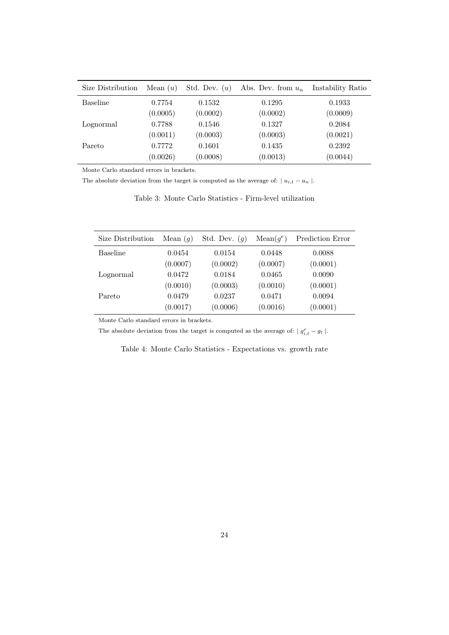<span id="page-24-0"></span>

| Size Distribution | Mean $(u)$ | Std. Dev. $(u)$ | Abs. Dev. from $u_n$ | Instability Ratio |
|-------------------|------------|-----------------|----------------------|-------------------|
| <b>Baseline</b>   | 0.7754     | 0.1532          | 0.1295               | 0.1933            |
|                   | (0.0005)   | (0.0002)        | (0.0002)             | (0.0009)          |
| Lognormal         | 0.7788     | 0.1546          | 0.1327               | 0.2084            |
|                   | (0.0011)   | (0.0003)        | (0.0003)             | (0.0021)          |
| Pareto            | 0.7772     | 0.1601          | 0.1435               | 0.2392            |
|                   | (0.0026)   | (0.0008)        | (0.0013)             | (0.0044)          |

Monte Carlo standard errors in brackets.

The absolute deviation from the target is computed as the average of:  $\mid u_{i,t} - u_n \mid$ .

Table 3: Monte Carlo Statistics - Firm-level utilization

<span id="page-24-1"></span>

| Size Distribution | Mean $(g)$ | Std. Dev. $(q)$ | $Mean(g^e)$ | Prediction Error |
|-------------------|------------|-----------------|-------------|------------------|
| <b>Baseline</b>   | 0.0454     | 0.0154          | 0.0448      | 0.0088           |
|                   | (0.0007)   | (0.0002)        | (0.0007)    | (0.0001)         |
| Lognormal         | 0.0472     | 0.0184          | 0.0465      | 0.0090           |
|                   | (0.0010)   | (0.0003)        | (0.0010)    | (0.0001)         |
| Pareto            | 0.0479     | 0.0237          | 0.0471      | 0.0094           |
|                   | (0.0017)   | (0.0006)        | (0.0016)    | (0.0001)         |

Monte Carlo standard errors in brackets.

The absolute deviation from the target is computed as the average of:  $|g_{i,t}^e - g_t|$ .

Table 4: Monte Carlo Statistics - Expectations vs. growth rate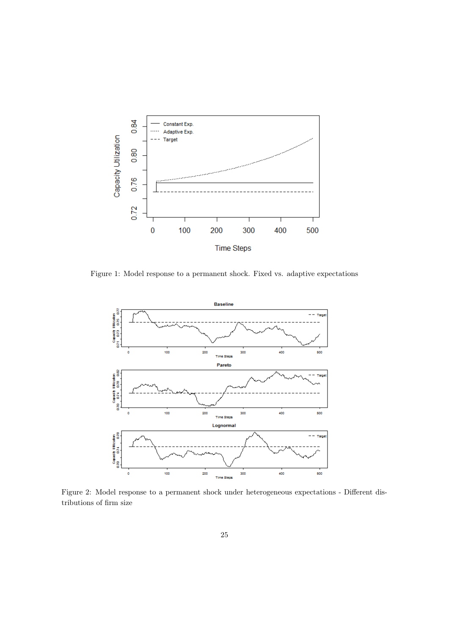<span id="page-25-0"></span>

<span id="page-25-1"></span>Figure 1: Model response to a permanent shock. Fixed vs. adaptive expectations



Figure 2: Model response to a permanent shock under heterogeneous expectations - Different distributions of firm size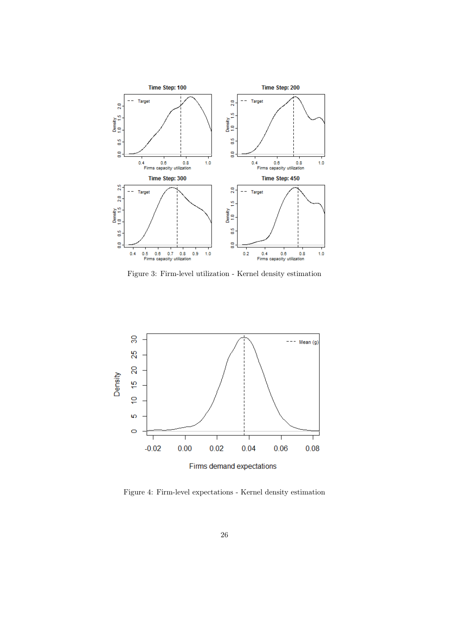<span id="page-26-0"></span>

Figure 3: Firm-level utilization - Kernel density estimation

<span id="page-26-1"></span>

Figure 4: Firm-level expectations - Kernel density estimation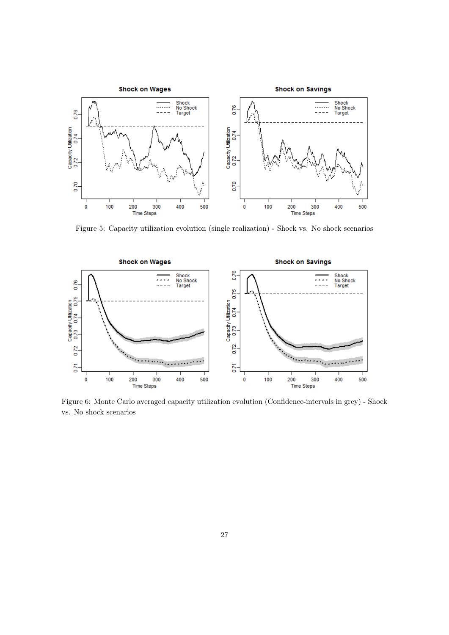<span id="page-27-0"></span>

Figure 5: Capacity utilization evolution (single realization) - Shock vs. No shock scenarios

<span id="page-27-1"></span>

Figure 6: Monte Carlo averaged capacity utilization evolution (Confidence-intervals in grey) - Shock vs. No shock scenarios